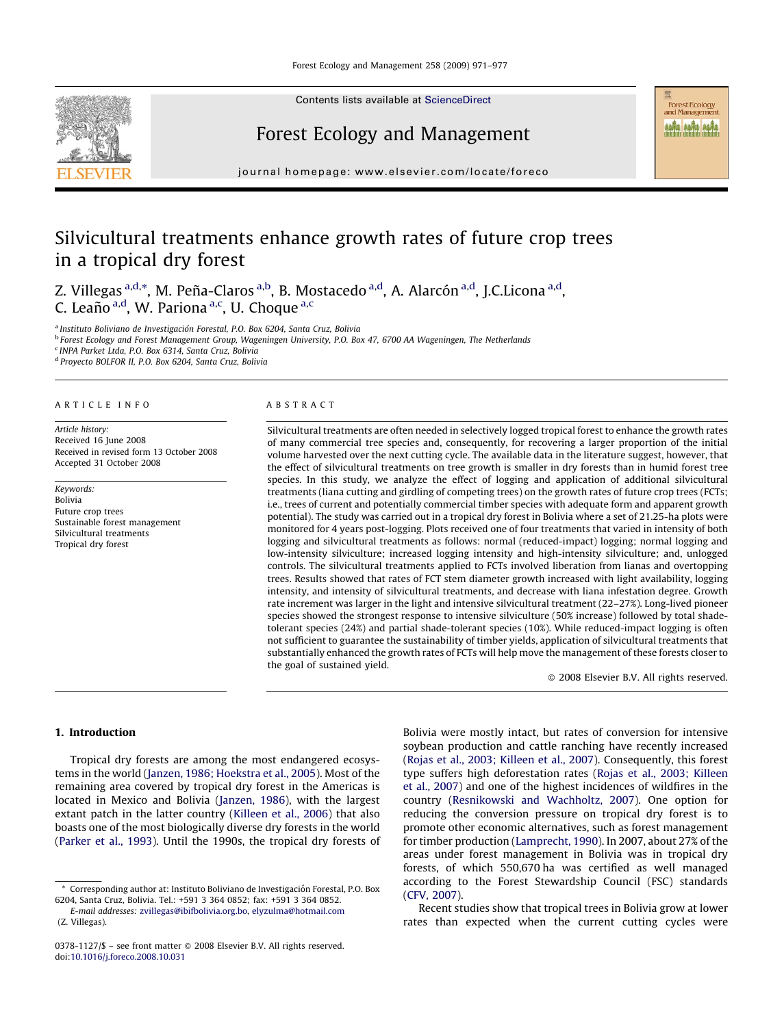

Contents lists available at [ScienceDirect](http://www.sciencedirect.com/science/journal/03781127)

## Forest Ecology and Management

journal homepage: www.elsevier.com/locate/foreco

# Silvicultural treatments enhance growth rates of future crop trees in a tropical dry forest

Z. Villegas <sup>a,d,</sup>\*, M. Peña-Claros <sup>a,b</sup>, B. Mostacedo <sup>a,d</sup>, A. Alarcón <sup>a,d</sup>, J.C.Licona <sup>a,d</sup>, C. Leaño<sup>a,d</sup>, W. Pariona<sup>a,c</sup>, U. Choque<sup>a,c</sup>

<sup>a</sup> Instituto Boliviano de Investigación Forestal, P.O. Box 6204, Santa Cruz, Bolivia <sup>b</sup> Forest Ecology and Forest Management Group, Wageningen University, P.O. Box 47, 6700 AA Wageningen, The Netherlands <sup>c</sup> INPA Parket Ltda, P.O. Box 6314, Santa Cruz, Bolivia <sup>d</sup> Proyecto BOLFOR II, P.O. Box 6204, Santa Cruz, Bolivia

#### ARTICLE INFO

Article history: Received 16 June 2008 Received in revised form 13 October 2008 Accepted 31 October 2008

Keywords: Bolivia Future crop trees Sustainable forest management Silvicultural treatments Tropical dry forest

#### ABSTRACT

Silvicultural treatments are often needed in selectively logged tropical forest to enhance the growth rates of many commercial tree species and, consequently, for recovering a larger proportion of the initial volume harvested over the next cutting cycle. The available data in the literature suggest, however, that the effect of silvicultural treatments on tree growth is smaller in dry forests than in humid forest tree species. In this study, we analyze the effect of logging and application of additional silvicultural treatments (liana cutting and girdling of competing trees) on the growth rates of future crop trees (FCTs; i.e., trees of current and potentially commercial timber species with adequate form and apparent growth potential). The study was carried out in a tropical dry forest in Bolivia where a set of 21.25-ha plots were monitored for 4 years post-logging. Plots received one of four treatments that varied in intensity of both logging and silvicultural treatments as follows: normal (reduced-impact) logging; normal logging and low-intensity silviculture; increased logging intensity and high-intensity silviculture; and, unlogged controls. The silvicultural treatments applied to FCTs involved liberation from lianas and overtopping trees. Results showed that rates of FCT stem diameter growth increased with light availability, logging intensity, and intensity of silvicultural treatments, and decrease with liana infestation degree. Growth rate increment was larger in the light and intensive silvicultural treatment (22–27%). Long-lived pioneer species showed the strongest response to intensive silviculture (50% increase) followed by total shadetolerant species (24%) and partial shade-tolerant species (10%). While reduced-impact logging is often not sufficient to guarantee the sustainability of timber yields, application of silvicultural treatments that substantially enhanced the growth rates of FCTs will help move the management of these forests closer to the goal of sustained yield.

 $\odot$  2008 Elsevier B.V. All rights reserved.

**EXECTED**<br>Forest Ecology<br>and Management **NA NA NA** 

#### 1. Introduction

Tropical dry forests are among the most endangered ecosystems in the world [\(Janzen, 1986; Hoekstra et al., 2005](#page-6-0)). Most of the remaining area covered by tropical dry forest in the Americas is located in Mexico and Bolivia ([Janzen, 1986](#page-6-0)), with the largest extant patch in the latter country [\(Killeen et al., 2006\)](#page-6-0) that also boasts one of the most biologically diverse dry forests in the world ([Parker et al., 1993\)](#page-6-0). Until the 1990s, the tropical dry forests of Bolivia were mostly intact, but rates of conversion for intensive soybean production and cattle ranching have recently increased ([Rojas et al., 2003; Killeen et al., 2007\)](#page-6-0). Consequently, this forest type suffers high deforestation rates [\(Rojas et al., 2003; Killeen](#page-6-0) [et al., 2007](#page-6-0)) and one of the highest incidences of wildfires in the country ([Resnikowski and Wachholtz, 2007](#page-6-0)). One option for reducing the conversion pressure on tropical dry forest is to promote other economic alternatives, such as forest management for timber production [\(Lamprecht, 1990](#page-6-0)). In 2007, about 27% of the areas under forest management in Bolivia was in tropical dry forests, of which 550,670 ha was certified as well managed according to the Forest Stewardship Council (FSC) standards ([CFV, 2007](#page-6-0)).

Recent studies show that tropical trees in Bolivia grow at lower rates than expected when the current cutting cycles were

<sup>\*</sup> Corresponding author at: Instituto Boliviano de Investigacio´n Forestal, P.O. Box 6204, Santa Cruz, Bolivia. Tel.: +591 3 364 0852; fax: +591 3 364 0852.

E-mail addresses: [zvillegas@ibifbolivia.org.bo](mailto:zvillegas@ibifbolivia.org.bo), [elyzulma@hotmail.com](mailto:elyzulma@hotmail.com) (Z. Villegas).

<sup>0378-1127/\$ –</sup> see front matter © 2008 Elsevier B.V. All rights reserved. doi:[10.1016/j.foreco.2008.10.031](http://dx.doi.org/10.1016/j.foreco.2008.10.031)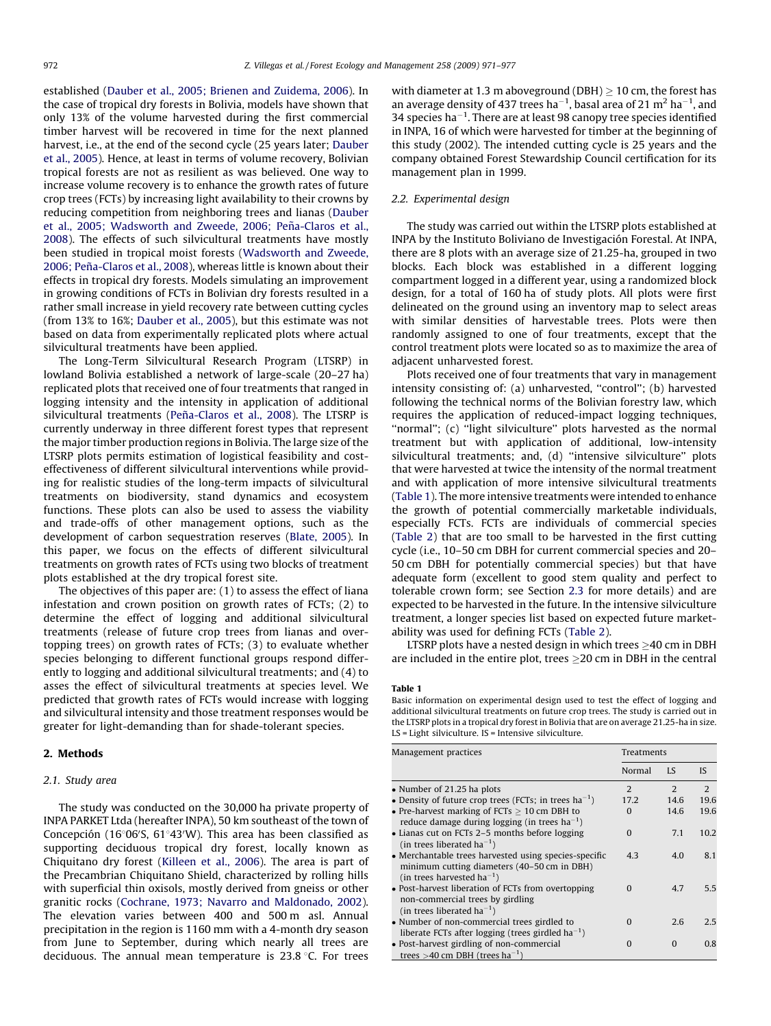established ([Dauber et al., 2005; Brienen and Zuidema, 2006](#page-6-0)). In the case of tropical dry forests in Bolivia, models have shown that only 13% of the volume harvested during the first commercial timber harvest will be recovered in time for the next planned harvest, i.e., at the end of the second cycle (25 years later; [Dauber](#page-6-0) [et al., 2005\)](#page-6-0). Hence, at least in terms of volume recovery, Bolivian tropical forests are not as resilient as was believed. One way to increase volume recovery is to enhance the growth rates of future crop trees (FCTs) by increasing light availability to their crowns by reducing competition from neighboring trees and lianas ([Dauber](#page-6-0) et al., 2005; Wadsworth and Zweede, 2006; Peña-Claros et al., [2008\)](#page-6-0). The effects of such silvicultural treatments have mostly been studied in tropical moist forests ([Wadsworth and Zweede,](#page-6-0) 2006; Peña-Claros et al., 2008), whereas little is known about their effects in tropical dry forests. Models simulating an improvement in growing conditions of FCTs in Bolivian dry forests resulted in a rather small increase in yield recovery rate between cutting cycles (from 13% to 16%; [Dauber et al., 2005\)](#page-6-0), but this estimate was not based on data from experimentally replicated plots where actual silvicultural treatments have been applied.

The Long-Term Silvicultural Research Program (LTSRP) in lowland Bolivia established a network of large-scale (20–27 ha) replicated plots that received one of four treatments that ranged in logging intensity and the intensity in application of additional silvicultural treatments (Peña-Claros et al., 2008). The LTSRP is currently underway in three different forest types that represent the major timber production regions in Bolivia. The large size of the LTSRP plots permits estimation of logistical feasibility and costeffectiveness of different silvicultural interventions while providing for realistic studies of the long-term impacts of silvicultural treatments on biodiversity, stand dynamics and ecosystem functions. These plots can also be used to assess the viability and trade-offs of other management options, such as the development of carbon sequestration reserves ([Blate, 2005](#page-6-0)). In this paper, we focus on the effects of different silvicultural treatments on growth rates of FCTs using two blocks of treatment plots established at the dry tropical forest site.

The objectives of this paper are: (1) to assess the effect of liana infestation and crown position on growth rates of FCTs; (2) to determine the effect of logging and additional silvicultural treatments (release of future crop trees from lianas and overtopping trees) on growth rates of FCTs; (3) to evaluate whether species belonging to different functional groups respond differently to logging and additional silvicultural treatments; and (4) to asses the effect of silvicultural treatments at species level. We predicted that growth rates of FCTs would increase with logging and silvicultural intensity and those treatment responses would be greater for light-demanding than for shade-tolerant species.

## 2. Methods

#### 2.1. Study area

The study was conducted on the 30,000 ha private property of INPA PARKET Ltda (hereafter INPA), 50 km southeast of the town of Concepción (16°06'S, 61°43'W). This area has been classified as supporting deciduous tropical dry forest, locally known as Chiquitano dry forest [\(Killeen et al., 2006\)](#page-6-0). The area is part of the Precambrian Chiquitano Shield, characterized by rolling hills with superficial thin oxisols, mostly derived from gneiss or other granitic rocks [\(Cochrane, 1973; Navarro and Maldonado, 2002\)](#page-6-0). The elevation varies between 400 and 500 m asl. Annual precipitation in the region is 1160 mm with a 4-month dry season from June to September, during which nearly all trees are deciduous. The annual mean temperature is  $23.8\text{ }^{\circ}$ C. For trees

with diameter at 1.3 m aboveground (DBH)  $\geq$  10 cm, the forest has an average density of 437 trees ha $^{-1}$ , basal area of 21 m<sup>2</sup> ha $^{-1}$ , and 34 species ha $^{-1}$ . There are at least 98 canopy tree species identified in INPA, 16 of which were harvested for timber at the beginning of this study (2002). The intended cutting cycle is 25 years and the company obtained Forest Stewardship Council certification for its management plan in 1999.

## 2.2. Experimental design

The study was carried out within the LTSRP plots established at INPA by the Instituto Boliviano de Investigación Forestal. At INPA, there are 8 plots with an average size of 21.25-ha, grouped in two blocks. Each block was established in a different logging compartment logged in a different year, using a randomized block design, for a total of 160 ha of study plots. All plots were first delineated on the ground using an inventory map to select areas with similar densities of harvestable trees. Plots were then randomly assigned to one of four treatments, except that the control treatment plots were located so as to maximize the area of adjacent unharvested forest.

Plots received one of four treatments that vary in management intensity consisting of: (a) unharvested, "control"; (b) harvested following the technical norms of the Bolivian forestry law, which requires the application of reduced-impact logging techniques, "normal"; (c) "light silviculture" plots harvested as the normal treatment but with application of additional, low-intensity silvicultural treatments; and, (d) "intensive silviculture" plots that were harvested at twice the intensity of the normal treatment and with application of more intensive silvicultural treatments (Table 1). The more intensive treatments were intended to enhance the growth of potential commercially marketable individuals, especially FCTs. FCTs are individuals of commercial species ([Table 2\)](#page-2-0) that are too small to be harvested in the first cutting cycle (i.e., 10–50 cm DBH for current commercial species and 20– 50 cm DBH for potentially commercial species) but that have adequate form (excellent to good stem quality and perfect to tolerable crown form; see Section [2.3](#page-2-0) for more details) and are expected to be harvested in the future. In the intensive silviculture treatment, a longer species list based on expected future marketability was used for defining FCTs [\(Table 2\)](#page-2-0).

LTSRP plots have a nested design in which trees  $\geq$ 40 cm in DBH are included in the entire plot, trees  $\geq$ 20 cm in DBH in the central

#### Table 1

Basic information on experimental design used to test the effect of logging and additional silvicultural treatments on future crop trees. The study is carried out in the LTSRP plots in a tropical dry forest in Bolivia that are on average 21.25-ha in size. LS = Light silviculture. IS = Intensive silviculture.

| Management practices                                                                                                                           | Treatments     |      |      |  |
|------------------------------------------------------------------------------------------------------------------------------------------------|----------------|------|------|--|
|                                                                                                                                                | Normal         | LS.  | IS.  |  |
| • Number of 21.25 ha plots                                                                                                                     | $\overline{2}$ | 2    | 2    |  |
| • Density of future crop trees (FCTs; in trees $ha^{-1}$ )                                                                                     | 17.2           | 14.6 | 19.6 |  |
| • Pre-harvest marking of FCTs $\geq 10$ cm DBH to<br>reduce damage during logging (in trees $ha^{-1}$ )                                        | $\Omega$       | 14.6 | 19.6 |  |
| • Lianas cut on FCTs 2–5 months before logging<br>(in trees liberated ha <sup>-1</sup> )                                                       | $\Omega$       | 7.1  | 10.2 |  |
| • Merchantable trees harvested using species-specific<br>minimum cutting diameters (40–50 cm in DBH)<br>(in trees harvested ha <sup>-1</sup> ) | 4.3            | 4.0  | 8.1  |  |
| • Post-harvest liberation of FCTs from overtopping<br>non-commercial trees by girdling<br>(in trees liberated $ha^{-1}$ )                      | $\Omega$       | 4.7  | 5.5  |  |
| • Number of non-commercial trees girdled to<br>liberate FCTs after logging (trees girdled $ha^{-1}$ )                                          | $\Omega$       | 2.6  | 2.5  |  |
| • Post-harvest girdling of non-commercial<br>trees $>40$ cm DBH (trees ha <sup>-1</sup> )                                                      | $\Omega$       | 0    | 0.8  |  |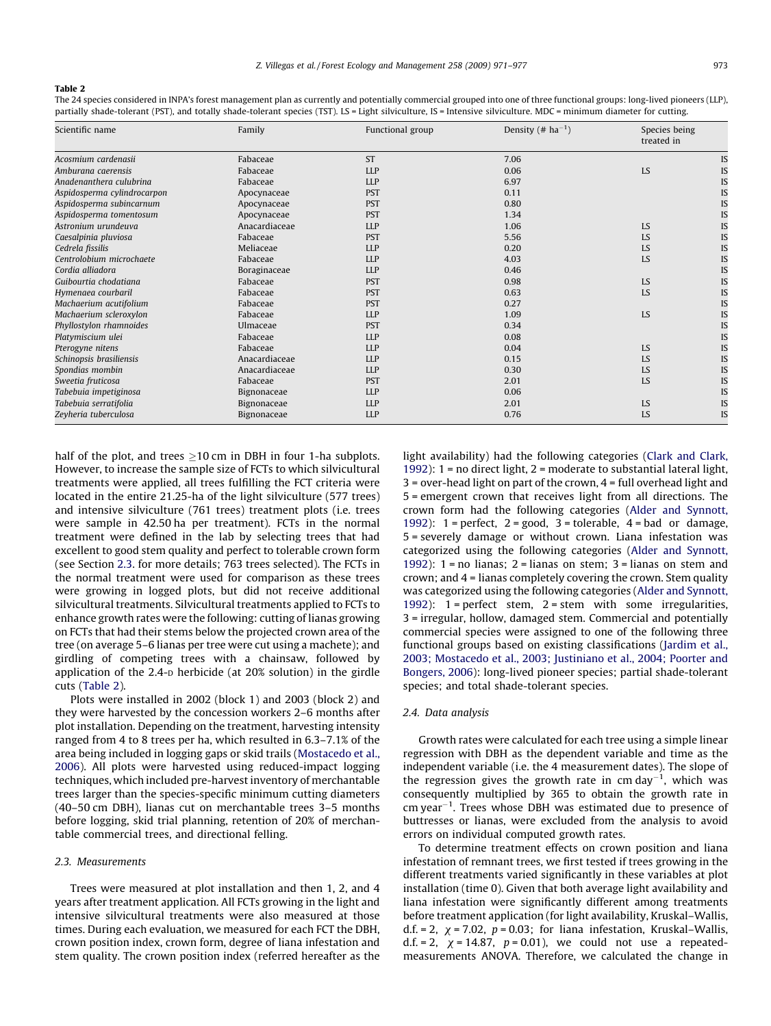#### <span id="page-2-0"></span>Table 2

The 24 species considered in INPA's forest management plan as currently and potentially commercial grouped into one of three functional groups: long-lived pioneers (LLP), partially shade-tolerant (PST), and totally shade-tolerant species (TST). LS = Light silviculture, IS = Intensive silviculture. MDC = minimum diameter for cutting.

| Scientific name             | Family<br>Functional group |            | Density $(\# \text{ ha}^{-1})$ | Species being<br>treated in |    |
|-----------------------------|----------------------------|------------|--------------------------------|-----------------------------|----|
| Acosmium cardenasii         | Fabaceae                   | <b>ST</b>  | 7.06                           |                             | IS |
| Amburana caerensis          | Fabaceae                   | <b>LLP</b> | 0.06                           | LS                          | IS |
| Anadenanthera culubrina     | Fabaceae                   | <b>LLP</b> | 6.97                           |                             | IS |
| Aspidosperma cylindrocarpon | Apocynaceae                | <b>PST</b> | 0.11                           |                             | IS |
| Aspidosperma subincarnum    | Apocynaceae                | <b>PST</b> | 0.80                           |                             | IS |
| Aspidosperma tomentosum     | Apocynaceae                | <b>PST</b> | 1.34                           |                             | IS |
| Astronium urundeuva         | Anacardiaceae              | <b>LLP</b> | 1.06                           | LS                          | IS |
| Caesalpinia pluviosa        | Fabaceae                   | <b>PST</b> | 5.56                           | LS                          | IS |
| Cedrela fissilis            | Meliaceae                  | <b>LLP</b> | 0.20                           | LS                          | IS |
| Centrolobium microchaete    | Fabaceae                   | <b>LLP</b> | 4.03                           | LS                          | IS |
| Cordia alliadora            | Boraginaceae               | <b>LLP</b> | 0.46                           |                             | IS |
| Guibourtia chodatiana       | Fabaceae                   | <b>PST</b> | 0.98                           | LS                          | IS |
| Hymenaea courbaril          | Fabaceae                   | <b>PST</b> | 0.63                           | LS                          | IS |
| Machaerium acutifolium      | Fabaceae                   | <b>PST</b> | 0.27                           |                             | IS |
| Machaerium scleroxylon      | Fabaceae                   | <b>LLP</b> | 1.09                           | LS                          | IS |
| Phyllostylon rhamnoides     | Ulmaceae                   | <b>PST</b> | 0.34                           |                             | IS |
| Platymiscium ulei           | Fabaceae                   | <b>LLP</b> | 0.08                           |                             | IS |
| Pterogyne nitens            | Fabaceae                   | <b>LLP</b> | 0.04                           | LS                          | IS |
| Schinopsis brasiliensis     | Anacardiaceae              | <b>LLP</b> | 0.15                           | LS                          | IS |
| Spondias mombin             | Anacardiaceae              | <b>LLP</b> | 0.30                           | LS                          | IS |
| Sweetia fruticosa           | Fabaceae                   | <b>PST</b> | 2.01                           | LS                          | IS |
| Tabebuia impetiginosa       | Bignonaceae                | <b>LLP</b> | 0.06                           |                             | IS |
| Tabebuia serratifolia       | Bignonaceae                | <b>LLP</b> | 2.01                           | LS                          | IS |
| Zeyheria tuberculosa        | Bignonaceae                | <b>LLP</b> | 0.76                           | LS                          | IS |

half of the plot, and trees  $\geq$ 10 cm in DBH in four 1-ha subplots. However, to increase the sample size of FCTs to which silvicultural treatments were applied, all trees fulfilling the FCT criteria were located in the entire 21.25-ha of the light silviculture (577 trees) and intensive silviculture (761 trees) treatment plots (i.e. trees were sample in 42.50 ha per treatment). FCTs in the normal treatment were defined in the lab by selecting trees that had excellent to good stem quality and perfect to tolerable crown form (see Section 2.3. for more details; 763 trees selected). The FCTs in the normal treatment were used for comparison as these trees were growing in logged plots, but did not receive additional silvicultural treatments. Silvicultural treatments applied to FCTs to enhance growth rates were the following: cutting of lianas growing on FCTs that had their stems below the projected crown area of the tree (on average 5–6 lianas per tree were cut using a machete); and girdling of competing trees with a chainsaw, followed by application of the 2.4-D herbicide (at 20% solution) in the girdle cuts (Table 2).

Plots were installed in 2002 (block 1) and 2003 (block 2) and they were harvested by the concession workers 2–6 months after plot installation. Depending on the treatment, harvesting intensity ranged from 4 to 8 trees per ha, which resulted in 6.3–7.1% of the area being included in logging gaps or skid trails [\(Mostacedo et al.,](#page-6-0) [2006\)](#page-6-0). All plots were harvested using reduced-impact logging techniques, which included pre-harvest inventory of merchantable trees larger than the species-specific minimum cutting diameters (40–50 cm DBH), lianas cut on merchantable trees 3–5 months before logging, skid trial planning, retention of 20% of merchantable commercial trees, and directional felling.

## 2.3. Measurements

Trees were measured at plot installation and then 1, 2, and 4 years after treatment application. All FCTs growing in the light and intensive silvicultural treatments were also measured at those times. During each evaluation, we measured for each FCT the DBH, crown position index, crown form, degree of liana infestation and stem quality. The crown position index (referred hereafter as the light availability) had the following categories [\(Clark and Clark,](#page-6-0) [1992\)](#page-6-0): 1 = no direct light, 2 = moderate to substantial lateral light, 3 = over-head light on part of the crown, 4 = full overhead light and 5 = emergent crown that receives light from all directions. The crown form had the following categories ([Alder and Synnott,](#page-6-0) [1992\)](#page-6-0):  $1 = perfect$ ,  $2 = good$ ,  $3 = tolerable$ ,  $4 = bad$  or damage, 5 = severely damage or without crown. Liana infestation was categorized using the following categories ([Alder and Synnott,](#page-6-0) [1992\)](#page-6-0):  $1 = no$  lianas;  $2 = li$ anas on stem;  $3 = li$ anas on stem and crown; and 4 = lianas completely covering the crown. Stem quality was categorized using the following categories ([Alder and Synnott,](#page-6-0) [1992\)](#page-6-0): 1 = perfect stem, 2 = stem with some irregularities, 3 = irregular, hollow, damaged stem. Commercial and potentially commercial species were assigned to one of the following three functional groups based on existing classifications ([Jardim et al.,](#page-6-0) [2003; Mostacedo et al., 2003; Justiniano et al., 2004; Poorter and](#page-6-0) [Bongers, 2006](#page-6-0)): long-lived pioneer species; partial shade-tolerant species; and total shade-tolerant species.

#### 2.4. Data analysis

Growth rates were calculated for each tree using a simple linear regression with DBH as the dependent variable and time as the independent variable (i.e. the 4 measurement dates). The slope of the regression gives the growth rate in cm day<sup>-1</sup>, which was consequently multiplied by 365 to obtain the growth rate in  $cm$  year<sup>-1</sup>. Trees whose DBH was estimated due to presence of buttresses or lianas, were excluded from the analysis to avoid errors on individual computed growth rates.

To determine treatment effects on crown position and liana infestation of remnant trees, we first tested if trees growing in the different treatments varied significantly in these variables at plot installation (time 0). Given that both average light availability and liana infestation were significantly different among treatments before treatment application (for light availability, Kruskal–Wallis, d.f. = 2,  $\chi$  = 7.02,  $p$  = 0.03; for liana infestation, Kruskal–Wallis, d.f. = 2,  $\chi$  = 14.87,  $p$  = 0.01), we could not use a repeatedmeasurements ANOVA. Therefore, we calculated the change in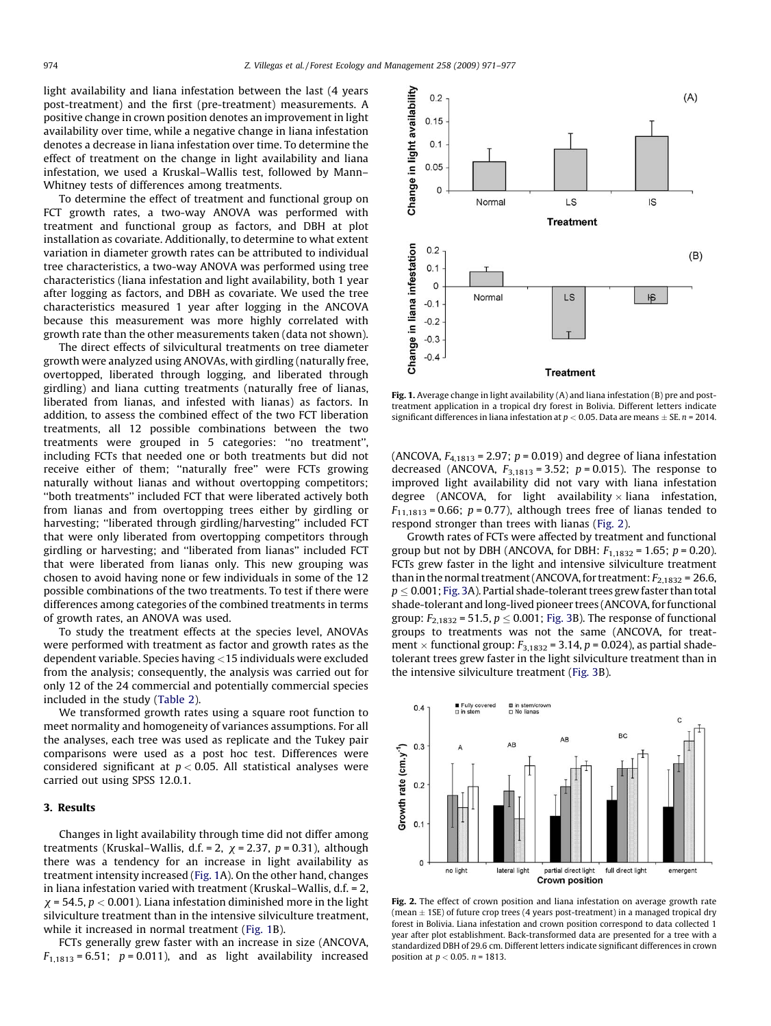<span id="page-3-0"></span>light availability and liana infestation between the last (4 years post-treatment) and the first (pre-treatment) measurements. A positive change in crown position denotes an improvement in light availability over time, while a negative change in liana infestation denotes a decrease in liana infestation over time. To determine the effect of treatment on the change in light availability and liana infestation, we used a Kruskal–Wallis test, followed by Mann– Whitney tests of differences among treatments.

To determine the effect of treatment and functional group on FCT growth rates, a two-way ANOVA was performed with treatment and functional group as factors, and DBH at plot installation as covariate. Additionally, to determine to what extent variation in diameter growth rates can be attributed to individual tree characteristics, a two-way ANOVA was performed using tree characteristics (liana infestation and light availability, both 1 year after logging as factors, and DBH as covariate. We used the tree characteristics measured 1 year after logging in the ANCOVA because this measurement was more highly correlated with growth rate than the other measurements taken (data not shown).

The direct effects of silvicultural treatments on tree diameter growth were analyzed using ANOVAs, with girdling (naturally free, overtopped, liberated through logging, and liberated through girdling) and liana cutting treatments (naturally free of lianas, liberated from lianas, and infested with lianas) as factors. In addition, to assess the combined effect of the two FCT liberation treatments, all 12 possible combinations between the two treatments were grouped in 5 categories: ''no treatment'', including FCTs that needed one or both treatments but did not receive either of them; ''naturally free'' were FCTs growing naturally without lianas and without overtopping competitors; ''both treatments'' included FCT that were liberated actively both from lianas and from overtopping trees either by girdling or harvesting; ''liberated through girdling/harvesting'' included FCT that were only liberated from overtopping competitors through girdling or harvesting; and ''liberated from lianas'' included FCT that were liberated from lianas only. This new grouping was chosen to avoid having none or few individuals in some of the 12 possible combinations of the two treatments. To test if there were differences among categories of the combined treatments in terms of growth rates, an ANOVA was used.

To study the treatment effects at the species level, ANOVAs were performed with treatment as factor and growth rates as the dependent variable. Species having <15 individuals were excluded from the analysis; consequently, the analysis was carried out for only 12 of the 24 commercial and potentially commercial species included in the study [\(Table 2](#page-2-0)).

We transformed growth rates using a square root function to meet normality and homogeneity of variances assumptions. For all the analyses, each tree was used as replicate and the Tukey pair comparisons were used as a post hoc test. Differences were considered significant at  $p < 0.05$ . All statistical analyses were carried out using SPSS 12.0.1.

## 3. Results

Changes in light availability through time did not differ among treatments (Kruskal–Wallis, d.f. = 2,  $\chi$  = 2.37,  $p$  = 0.31), although there was a tendency for an increase in light availability as treatment intensity increased (Fig. 1A). On the other hand, changes in liana infestation varied with treatment (Kruskal–Wallis, d.f. = 2,  $\chi$  = 54.5,  $p$  < 0.001). Liana infestation diminished more in the light silviculture treatment than in the intensive silviculture treatment, while it increased in normal treatment (Fig. 1B).

FCTs generally grew faster with an increase in size (ANCOVA,  $F_{1,1813} = 6.51$ ;  $p = 0.011$ ), and as light availability increased



Fig. 1. Average change in light availability (A) and liana infestation (B) pre and posttreatment application in a tropical dry forest in Bolivia. Different letters indicate significant differences in liana infestation at  $p < 0.05$ . Data are means  $\pm$  SE. n = 2014.

(ANCOVA,  $F_{4,1813}$  = 2.97;  $p$  = 0.019) and degree of liana infestation decreased (ANCOVA,  $F_{3,1813} = 3.52$ ;  $p = 0.015$ ). The response to improved light availability did not vary with liana infestation degree (ANCOVA, for light availability  $\times$  liana infestation,  $F_{11,1813}$  = 0.66;  $p$  = 0.77), although trees free of lianas tended to respond stronger than trees with lianas (Fig. 2).

Growth rates of FCTs were affected by treatment and functional group but not by DBH (ANCOVA, for DBH:  $F_{1,1832} = 1.65$ ;  $p = 0.20$ ). FCTs grew faster in the light and intensive silviculture treatment than in the normal treatment (ANCOVA, for treatment:  $F_{2.1832}$  = 26.6,  $p < 0.001$ ; [Fig. 3A](#page-4-0)). Partial shade-tolerant trees grew faster than total shade-tolerant and long-lived pioneer trees (ANCOVA, for functional group:  $F_{2,1832}$  = 51.5,  $p \le 0.001$ ; [Fig. 3](#page-4-0)B). The response of functional groups to treatments was not the same (ANCOVA, for treatment  $\times$  functional group:  $F_{3,1832}$  = 3.14, p = 0.024), as partial shadetolerant trees grew faster in the light silviculture treatment than in the intensive silviculture treatment [\(Fig. 3B](#page-4-0)).



Fig. 2. The effect of crown position and liana infestation on average growth rate (mean  $\pm$  1SE) of future crop trees (4 years post-treatment) in a managed tropical dry forest in Bolivia. Liana infestation and crown position correspond to data collected 1 year after plot establishment. Back-transformed data are presented for a tree with a standardized DBH of 29.6 cm. Different letters indicate significant differences in crown position at  $p < 0.05$ .  $n = 1813$ .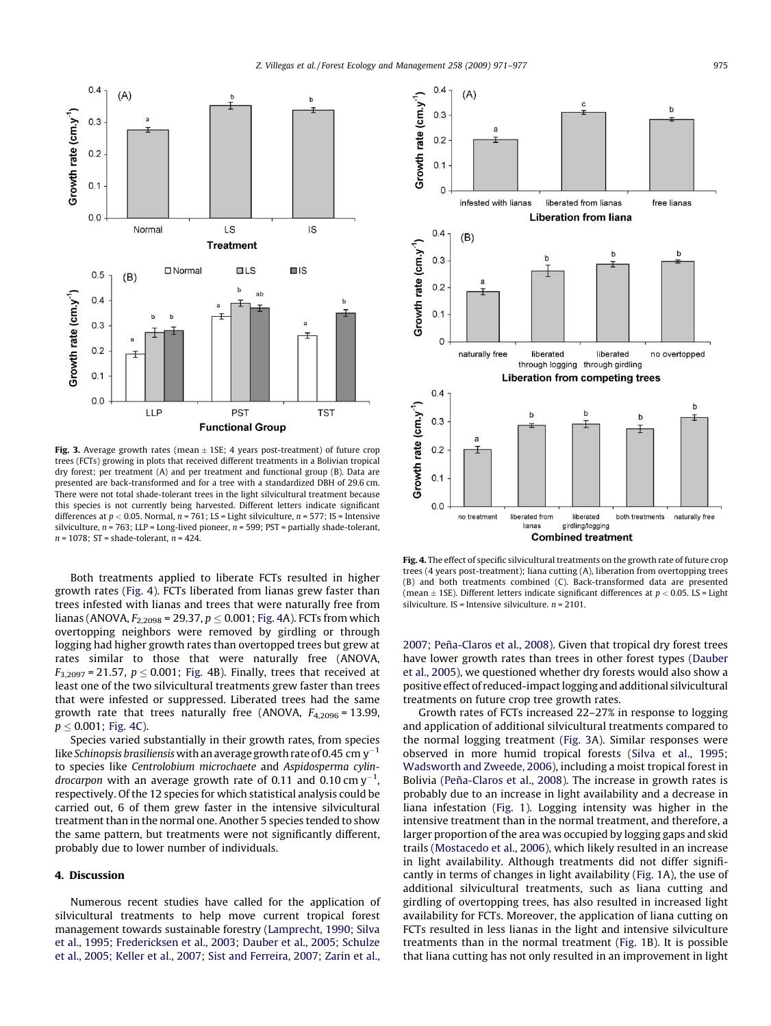<span id="page-4-0"></span>

Fig. 3. Average growth rates (mean  $\pm$  1SE; 4 years post-treatment) of future crop trees (FCTs) growing in plots that received different treatments in a Bolivian tropical dry forest; per treatment (A) and per treatment and functional group (B). Data are presented are back-transformed and for a tree with a standardized DBH of 29.6 cm. There were not total shade-tolerant trees in the light silvicultural treatment because this species is not currently being harvested. Different letters indicate significant differences at  $p < 0.05$ . Normal,  $n = 761$ ; LS = Light silviculture,  $n = 577$ ; IS = Intensive silviculture,  $n = 763$ ; LLP = Long-lived pioneer,  $n = 599$ ; PST = partially shade-tolerant,  $n = 1078$ ; ST = shade-tolerant,  $n = 424$ .

Both treatments applied to liberate FCTs resulted in higher growth rates (Fig. 4). FCTs liberated from lianas grew faster than trees infested with lianas and trees that were naturally free from lianas (ANOVA,  $F_{2,2098}$  = 29.37,  $p \le 0.001$ ; Fig. 4A). FCTs from which overtopping neighbors were removed by girdling or through logging had higher growth rates than overtopped trees but grew at rates similar to those that were naturally free (ANOVA,  $F_{3,2097}$  = 21.57,  $p < 0.001$ ; Fig. 4B). Finally, trees that received at least one of the two silvicultural treatments grew faster than trees that were infested or suppressed. Liberated trees had the same growth rate that trees naturally free (ANOVA,  $F_{4,2096}$  = 13.99,  $p \le 0.001$ ; Fig. 4C).

Species varied substantially in their growth rates, from species like Schinopsis brasiliensis with an average growth rate of 0.45 cm  $y^{-1}$ to species like Centrolobium microchaete and Aspidosperma cylin*drocarpon with an average growth rate of 0.11 and 0.10* cm  $y^{-1}$ , respectively. Of the 12 species for which statistical analysis could be carried out, 6 of them grew faster in the intensive silvicultural treatment than in the normal one. Another 5 species tended to show the same pattern, but treatments were not significantly different, probably due to lower number of individuals.

## 4. Discussion

Numerous recent studies have called for the application of silvicultural treatments to help move current tropical forest management towards sustainable forestry [\(Lamprecht, 1990; Silva](#page-6-0) [et al., 1995; Fredericksen et al., 2003; Dauber et al., 2005; Schulze](#page-6-0) [et al., 2005; Keller et al., 2007; Sist and Ferreira, 2007; Zarin et al.,](#page-6-0)



Fig. 4. The effect of specific silvicultural treatments on the growth rate of future crop trees (4 years post-treatment); liana cutting (A), liberation from overtopping trees (B) and both treatments combined (C). Back-transformed data are presented (mean  $\pm$  1SE). Different letters indicate significant differences at  $p < 0.05$ . LS = Light silviculture. IS = Intensive silviculture.  $n = 2101$ .

2007; Peña-Claros et al., 2008). Given that tropical dry forest trees have lower growth rates than trees in other forest types [\(Dauber](#page-6-0) [et al., 2005](#page-6-0)), we questioned whether dry forests would also show a positive effect of reduced-impact logging and additional silvicultural treatments on future crop tree growth rates.

Growth rates of FCTs increased 22–27% in response to logging and application of additional silvicultural treatments compared to the normal logging treatment (Fig. 3A). Similar responses were observed in more humid tropical forests [\(Silva et al., 1995;](#page-6-0) [Wadsworth and Zweede, 2006](#page-6-0)), including a moist tropical forest in Bolivia (Peña-Claros et al., 2008). The increase in growth rates is probably due to an increase in light availability and a decrease in liana infestation ([Fig. 1](#page-3-0)). Logging intensity was higher in the intensive treatment than in the normal treatment, and therefore, a larger proportion of the area was occupied by logging gaps and skid trails [\(Mostacedo et al., 2006](#page-6-0)), which likely resulted in an increase in light availability. Although treatments did not differ significantly in terms of changes in light availability [\(Fig. 1](#page-3-0)A), the use of additional silvicultural treatments, such as liana cutting and girdling of overtopping trees, has also resulted in increased light availability for FCTs. Moreover, the application of liana cutting on FCTs resulted in less lianas in the light and intensive silviculture treatments than in the normal treatment ([Fig. 1](#page-3-0)B). It is possible that liana cutting has not only resulted in an improvement in light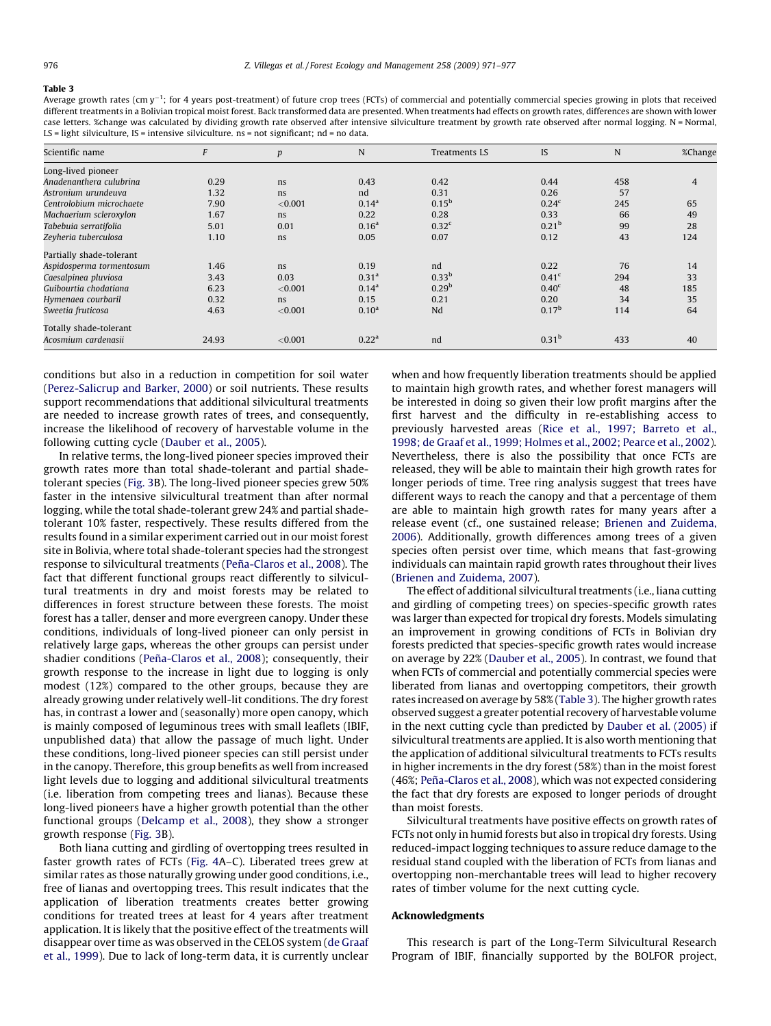#### Table 3

Average growth rates (cm y<sup>-1</sup>; for 4 years post-treatment) of future crop trees (FCTs) of commercial and potentially commercial species growing in plots that received different treatments in a Bolivian tropical moist forest. Back transformed data are presented. When treatments had effects on growth rates, differences are shown with lower case letters. %change was calculated by dividing growth rate observed after intensive silviculture treatment by growth rate observed after normal logging. N = Normal, LS = light silviculture, IS = intensive silviculture. ns = not significant; nd = no data.

| Scientific name          | F     | $\boldsymbol{p}$ | N                 | Treatments LS     | IS                | N   | %Change        |
|--------------------------|-------|------------------|-------------------|-------------------|-------------------|-----|----------------|
| Long-lived pioneer       |       |                  |                   |                   |                   |     |                |
| Anadenanthera culubrina  | 0.29  | ns               | 0.43              | 0.42              | 0.44              | 458 | $\overline{4}$ |
| Astronium urundeuva      | 1.32  | ns               | nd                | 0.31              | 0.26              | 57  |                |
| Centrolobium microchaete | 7.90  | < 0.001          | 0.14 <sup>a</sup> | $0.15^{b}$        | 0.24 <sup>c</sup> | 245 | 65             |
| Machaerium scleroxylon   | 1.67  | ns               | 0.22              | 0.28              | 0.33              | 66  | 49             |
| Tabebuia serratifolia    | 5.01  | 0.01             | 0.16 <sup>a</sup> | 0.32 <sup>c</sup> | 0.21 <sup>b</sup> | 99  | 28             |
| Zeyheria tuberculosa     | 1.10  | ns               | 0.05              | 0.07              | 0.12              | 43  | 124            |
| Partially shade-tolerant |       |                  |                   |                   |                   |     |                |
| Aspidosperma tormentosum | 1.46  | ns               | 0.19              | nd                | 0.22              | 76  | 14             |
| Caesalpinea pluviosa     | 3.43  | 0.03             | 0.31 <sup>a</sup> | $0.33^{b}$        | 0.41 <sup>c</sup> | 294 | 33             |
| Guibourtia chodatiana    | 6.23  | < 0.001          | 0.14 <sup>a</sup> | 0.29 <sup>b</sup> | 0.40 <sup>c</sup> | 48  | 185            |
| Hymenaea courbaril       | 0.32  | ns               | 0.15              | 0.21              | 0.20              | 34  | 35             |
| Sweetia fruticosa        | 4.63  | < 0.001          | 0.10 <sup>a</sup> | Nd                | 0.17 <sup>b</sup> | 114 | 64             |
| Totally shade-tolerant   |       |                  |                   |                   |                   |     |                |
| Acosmium cardenasii      | 24.93 | < 0.001          | 0.22 <sup>a</sup> | nd                | 0.31 <sup>b</sup> | 433 | 40             |

conditions but also in a reduction in competition for soil water ([Perez-Salicrup and Barker, 2000\)](#page-6-0) or soil nutrients. These results support recommendations that additional silvicultural treatments are needed to increase growth rates of trees, and consequently, increase the likelihood of recovery of harvestable volume in the following cutting cycle ([Dauber et al., 2005\)](#page-6-0).

In relative terms, the long-lived pioneer species improved their growth rates more than total shade-tolerant and partial shadetolerant species ([Fig. 3B](#page-4-0)). The long-lived pioneer species grew 50% faster in the intensive silvicultural treatment than after normal logging, while the total shade-tolerant grew 24% and partial shadetolerant 10% faster, respectively. These results differed from the results found in a similar experiment carried out in our moist forest site in Bolivia, where total shade-tolerant species had the strongest response to silvicultural treatments (Peña-Claros et al., 2008). The fact that different functional groups react differently to silvicultural treatments in dry and moist forests may be related to differences in forest structure between these forests. The moist forest has a taller, denser and more evergreen canopy. Under these conditions, individuals of long-lived pioneer can only persist in relatively large gaps, whereas the other groups can persist under shadier conditions (Peña-Claros et al., 2008); consequently, their growth response to the increase in light due to logging is only modest (12%) compared to the other groups, because they are already growing under relatively well-lit conditions. The dry forest has, in contrast a lower and (seasonally) more open canopy, which is mainly composed of leguminous trees with small leaflets (IBIF, unpublished data) that allow the passage of much light. Under these conditions, long-lived pioneer species can still persist under in the canopy. Therefore, this group benefits as well from increased light levels due to logging and additional silvicultural treatments (i.e. liberation from competing trees and lianas). Because these long-lived pioneers have a higher growth potential than the other functional groups [\(Delcamp et al., 2008](#page-6-0)), they show a stronger growth response ([Fig. 3B](#page-4-0)).

Both liana cutting and girdling of overtopping trees resulted in faster growth rates of FCTs ([Fig. 4](#page-4-0)A–C). Liberated trees grew at similar rates as those naturally growing under good conditions, i.e., free of lianas and overtopping trees. This result indicates that the application of liberation treatments creates better growing conditions for treated trees at least for 4 years after treatment application. It is likely that the positive effect of the treatments will disappear over time as was observed in the CELOS system [\(de Graaf](#page-6-0) [et al., 1999](#page-6-0)). Due to lack of long-term data, it is currently unclear when and how frequently liberation treatments should be applied to maintain high growth rates, and whether forest managers will be interested in doing so given their low profit margins after the first harvest and the difficulty in re-establishing access to previously harvested areas [\(Rice et al., 1997; Barreto et al.,](#page-6-0) [1998; de Graaf et al., 1999; Holmes et al., 2002; Pearce et al., 2002\)](#page-6-0). Nevertheless, there is also the possibility that once FCTs are released, they will be able to maintain their high growth rates for longer periods of time. Tree ring analysis suggest that trees have different ways to reach the canopy and that a percentage of them are able to maintain high growth rates for many years after a release event (cf., one sustained release; [Brienen and Zuidema,](#page-6-0) [2006\)](#page-6-0). Additionally, growth differences among trees of a given species often persist over time, which means that fast-growing individuals can maintain rapid growth rates throughout their lives ([Brienen and Zuidema, 2007](#page-6-0)).

The effect of additional silvicultural treatments (i.e., liana cutting and girdling of competing trees) on species-specific growth rates was larger than expected for tropical dry forests. Models simulating an improvement in growing conditions of FCTs in Bolivian dry forests predicted that species-specific growth rates would increase on average by 22% ([Dauber et al., 2005\)](#page-6-0). In contrast, we found that when FCTs of commercial and potentially commercial species were liberated from lianas and overtopping competitors, their growth rates increased on average by 58% (Table 3). The higher growth rates observed suggest a greater potential recovery of harvestable volume in the next cutting cycle than predicted by [Dauber et al. \(2005\)](#page-6-0) if silvicultural treatments are applied. It is also worth mentioning that the application of additional silvicultural treatments to FCTs results in higher increments in the dry forest (58%) than in the moist forest (46%; Peña-Claros et al., 2008), which was not expected considering the fact that dry forests are exposed to longer periods of drought than moist forests.

Silvicultural treatments have positive effects on growth rates of FCTs not only in humid forests but also in tropical dry forests. Using reduced-impact logging techniques to assure reduce damage to the residual stand coupled with the liberation of FCTs from lianas and overtopping non-merchantable trees will lead to higher recovery rates of timber volume for the next cutting cycle.

### Acknowledgments

This research is part of the Long-Term Silvicultural Research Program of IBIF, financially supported by the BOLFOR project,